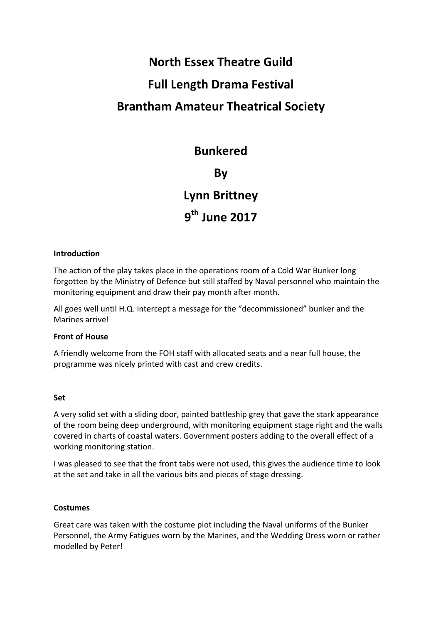# **North Essex Theatre Guild Full Length Drama Festival Brantham Amateur Theatrical Society**

### **Bunkered**

### **By**

### **Lynn Brittney**

## **9th June 2017**

#### **Introduction**

The action of the play takes place in the operations room of a Cold War Bunker long forgotten by the Ministry of Defence but still staffed by Naval personnel who maintain the monitoring equipment and draw their pay month after month.

All goes well until H.Q. intercept a message for the "decommissioned" bunker and the Marines arrive!

#### **Front of House**

A friendly welcome from the FOH staff with allocated seats and a near full house, the programme was nicely printed with cast and crew credits.

#### **Set**

A very solid set with a sliding door, painted battleship grey that gave the stark appearance of the room being deep underground, with monitoring equipment stage right and the walls covered in charts of coastal waters. Government posters adding to the overall effect of a working monitoring station.

I was pleased to see that the front tabs were not used, this gives the audience time to look at the set and take in all the various bits and pieces of stage dressing.

#### **Costumes**

Great care was taken with the costume plot including the Naval uniforms of the Bunker Personnel, the Army Fatigues worn by the Marines, and the Wedding Dress worn or rather modelled by Peter!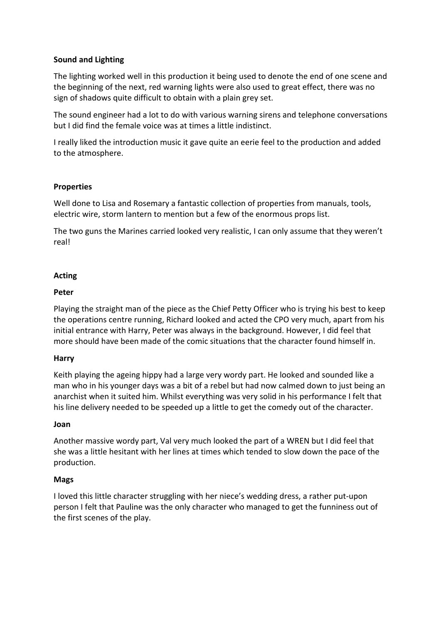#### **Sound and Lighting**

The lighting worked well in this production it being used to denote the end of one scene and the beginning of the next, red warning lights were also used to great effect, there was no sign of shadows quite difficult to obtain with a plain grey set.

The sound engineer had a lot to do with various warning sirens and telephone conversations but I did find the female voice was at times a little indistinct.

I really liked the introduction music it gave quite an eerie feel to the production and added to the atmosphere.

#### **Properties**

Well done to Lisa and Rosemary a fantastic collection of properties from manuals, tools, electric wire, storm lantern to mention but a few of the enormous props list.

The two guns the Marines carried looked very realistic, I can only assume that they weren't real!

#### **Acting**

#### **Peter**

Playing the straight man of the piece as the Chief Petty Officer who is trying his best to keep the operations centre running, Richard looked and acted the CPO very much, apart from his initial entrance with Harry, Peter was always in the background. However, I did feel that more should have been made of the comic situations that the character found himself in.

#### **Harry**

Keith playing the ageing hippy had a large very wordy part. He looked and sounded like a man who in his younger days was a bit of a rebel but had now calmed down to just being an anarchist when it suited him. Whilst everything was very solid in his performance I felt that his line delivery needed to be speeded up a little to get the comedy out of the character.

#### **Joan**

Another massive wordy part, Val very much looked the part of a WREN but I did feel that she was a little hesitant with her lines at times which tended to slow down the pace of the production. 

#### **Mags**

I loved this little character struggling with her niece's wedding dress, a rather put-upon person I felt that Pauline was the only character who managed to get the funniness out of the first scenes of the play.